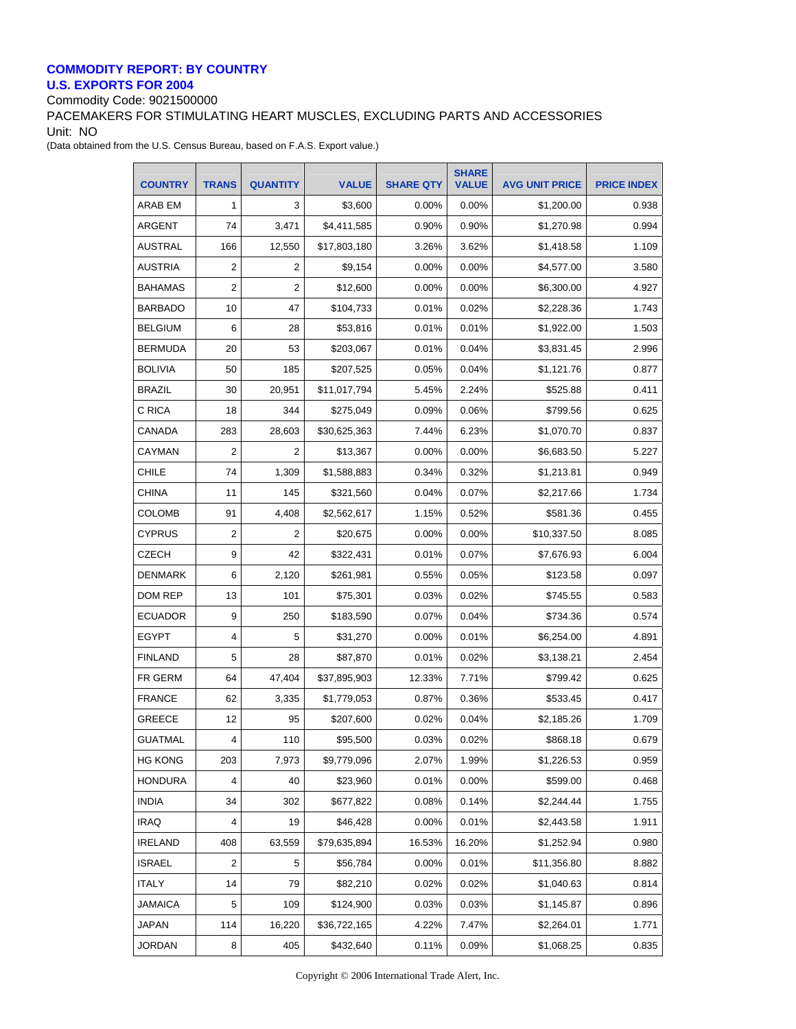## **COMMODITY REPORT: BY COUNTRY U.S. EXPORTS FOR 2004**

Commodity Code: 9021500000

PACEMAKERS FOR STIMULATING HEART MUSCLES, EXCLUDING PARTS AND ACCESSORIES Unit: NO

(Data obtained from the U.S. Census Bureau, based on F.A.S. Export value.)

| <b>COUNTRY</b> | <b>TRANS</b>   | <b>QUANTITY</b> | <b>VALUE</b> | <b>SHARE QTY</b> | <b>SHARE</b><br><b>VALUE</b> | <b>AVG UNIT PRICE</b> | <b>PRICE INDEX</b> |
|----------------|----------------|-----------------|--------------|------------------|------------------------------|-----------------------|--------------------|
| ARAB EM        | 1              | 3               | \$3.600      | 0.00%            | 0.00%                        | \$1,200.00            | 0.938              |
| ARGENT         | 74             | 3,471           | \$4,411,585  | 0.90%            | 0.90%                        | \$1,270.98            | 0.994              |
| <b>AUSTRAL</b> | 166            | 12,550          | \$17.803.180 | 3.26%            | 3.62%                        | \$1,418.58            | 1.109              |
| AUSTRIA        | 2              | 2               | \$9,154      | 0.00%            | 0.00%                        | \$4,577.00            | 3.580              |
| <b>BAHAMAS</b> | 2              | $\overline{2}$  | \$12,600     | 0.00%            | 0.00%                        | \$6,300.00            | 4.927              |
| <b>BARBADO</b> | 10             | 47              | \$104,733    | 0.01%            | 0.02%                        | \$2,228.36            | 1.743              |
| <b>BELGIUM</b> | 6              | 28              | \$53,816     | 0.01%            | 0.01%                        | \$1.922.00            | 1.503              |
| <b>BERMUDA</b> | 20             | 53              | \$203,067    | 0.01%            | 0.04%                        | \$3,831.45            | 2.996              |
| <b>BOLIVIA</b> | 50             | 185             | \$207,525    | 0.05%            | 0.04%                        | \$1,121.76            | 0.877              |
| <b>BRAZIL</b>  | 30             | 20,951          | \$11,017,794 | 5.45%            | 2.24%                        | \$525.88              | 0.411              |
| C RICA         | 18             | 344             | \$275,049    | 0.09%            | 0.06%                        | \$799.56              | 0.625              |
| <b>CANADA</b>  | 283            | 28,603          | \$30,625,363 | 7.44%            | 6.23%                        | \$1,070.70            | 0.837              |
| CAYMAN         | $\overline{2}$ | 2               | \$13,367     | 0.00%            | 0.00%                        | \$6,683.50            | 5.227              |
| <b>CHILE</b>   | 74             | 1,309           | \$1,588,883  | 0.34%            | 0.32%                        | \$1,213.81            | 0.949              |
| <b>CHINA</b>   | 11             | 145             | \$321,560    | 0.04%            | 0.07%                        | \$2,217.66            | 1.734              |
| COLOMB         | 91             | 4,408           | \$2,562,617  | 1.15%            | 0.52%                        | \$581.36              | 0.455              |
| <b>CYPRUS</b>  | 2              | 2               | \$20,675     | 0.00%            | 0.00%                        | \$10,337.50           | 8.085              |
| <b>CZECH</b>   | 9              | 42              | \$322,431    | 0.01%            | 0.07%                        | \$7,676.93            | 6.004              |
| <b>DENMARK</b> | 6              | 2,120           | \$261,981    | 0.55%            | 0.05%                        | \$123.58              | 0.097              |
| DOM REP        | 13             | 101             | \$75,301     | 0.03%            | 0.02%                        | \$745.55              | 0.583              |
| <b>ECUADOR</b> | 9              | 250             | \$183,590    | 0.07%            | 0.04%                        | \$734.36              | 0.574              |
| <b>EGYPT</b>   | 4              | 5               | \$31,270     | 0.00%            | 0.01%                        | \$6,254.00            | 4.891              |
| <b>FINLAND</b> | 5              | 28              | \$87,870     | 0.01%            | 0.02%                        | \$3,138.21            | 2.454              |
| FR GERM        | 64             | 47,404          | \$37,895,903 | 12.33%           | 7.71%                        | \$799.42              | 0.625              |
| <b>FRANCE</b>  | 62             | 3,335           | \$1,779,053  | 0.87%            | 0.36%                        | \$533.45              | 0.417              |
| GREECE         | 12             | 95              | \$207,600    | 0.02%            | 0.04%                        | \$2,185.26            | 1.709              |
| <b>GUATMAL</b> | 4              | 110             | \$95,500     | 0.03%            | 0.02%                        | \$868.18              | 0.679              |
| <b>HG KONG</b> | 203            | 7,973           | \$9,779,096  | 2.07%            | 1.99%                        | \$1,226.53            | 0.959              |
| <b>HONDURA</b> | 4              | 40              | \$23,960     | 0.01%            | 0.00%                        | \$599.00              | 0.468              |
| <b>INDIA</b>   | 34             | 302             | \$677,822    | 0.08%            | 0.14%                        | \$2,244.44            | 1.755              |
| <b>IRAQ</b>    | 4              | 19              | \$46,428     | 0.00%            | 0.01%                        | \$2,443.58            | 1.911              |
| <b>IRELAND</b> | 408            | 63,559          | \$79,635,894 | 16.53%           | 16.20%                       | \$1,252.94            | 0.980              |
| <b>ISRAEL</b>  | $\overline{2}$ | 5               | \$56,784     | $0.00\%$         | 0.01%                        | \$11,356.80           | 8.882              |
| <b>ITALY</b>   | 14             | 79              | \$82,210     | 0.02%            | 0.02%                        | \$1,040.63            | 0.814              |
| JAMAICA        | 5              | 109             | \$124,900    | 0.03%            | 0.03%                        | \$1,145.87            | 0.896              |
| JAPAN          | 114            | 16,220          | \$36,722,165 | 4.22%            | 7.47%                        | \$2,264.01            | 1.771              |
| <b>JORDAN</b>  | 8              | 405             | \$432,640    | 0.11%            | 0.09%                        | \$1,068.25            | 0.835              |

Copyright © 2006 International Trade Alert, Inc.